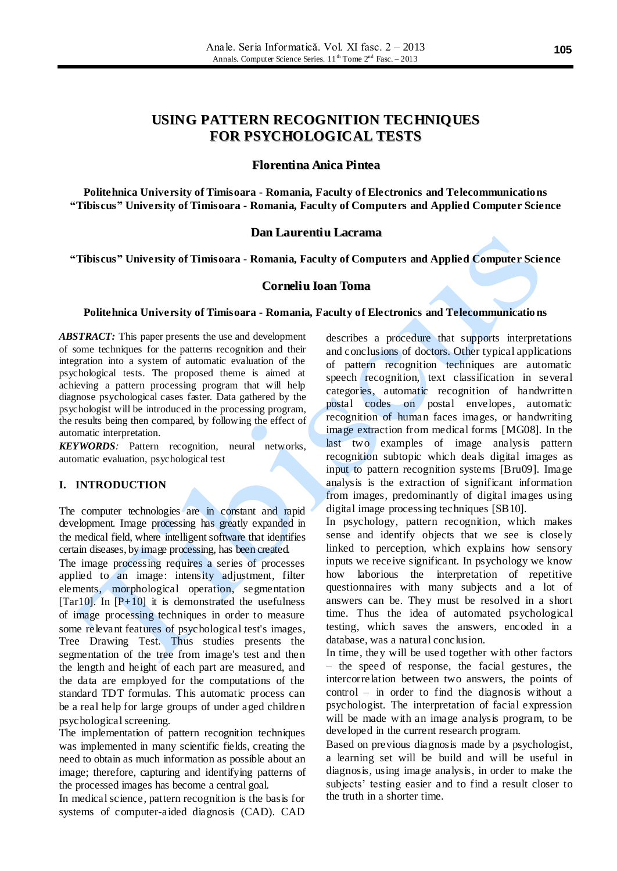# **USING PATTERN RECOGNITION TECHNIQUES FOR PSYCHOLOGICAL TESTS**

### **Florentina Anica Pintea**

**Politehnica University of Timisoara - Romania, Faculty of Electronics and Telecommunications "Tibiscus" University of Timisoara - Romania, Faculty of Computers and Applied Computer Science**

### **Dan Laurentiu Lacrama**

**"Tibiscus" University of Timisoara - Romania, Faculty of Computers and Applied Computer Science**

### **Corneliu Ioan Toma**

#### **Politehnica University of Timisoara - Romania, Faculty of Electronics and Telecommunicatio ns**

*ABSTRACT:* This paper presents the use and development of some techniques for the patterns recognition and their integration into a system of automatic evaluation of the psychological tests. The proposed theme is aimed at achieving a pattern processing program that will help diagnose psychological cases faster. Data gathered by the psychologist will be introduced in the processing program, the results being then compared, by following the effect of automatic interpretation.

*KEYWORDS:* Pattern recognition, neural networks, automatic evaluation, psychological test

### **I. INTRODUCTION**

The computer technologies are in constant and rapid development. Image processing has greatly expanded in the medical field, where intelligent software that identifies certain diseases, by image processing, has been created.

The image processing requires a series of processes applied to an image: intensity adjustment, filter elements, morphological operation, segmentation [Tar10]. In  $[P+10]$  it is demonstrated the usefulness of image processing techniques in order to measure some relevant features of psychological test's images, Tree Drawing Test. Thus studies presents the segmentation of the tree from image's test and then the length and height of each part are measured, and the data are employed for the computations of the standard TDT formulas. This automatic process can be a real help for large groups of under aged children psychological screening.

The implementation of pattern recognition techniques was implemented in many scientific fields, creating the need to obtain as much information as possible about an image; therefore, capturing and identifying patterns of the processed images has become a central goal.

In medical science, pattern recognition is the basis for systems of computer-aided diagnosis (CAD). CAD describes a procedure that supports interpretations and conclusions of doctors. Other typical applications of pattern recognition techniques are automatic speech recognition, text classification in several categories, automatic recognition of handwritten postal codes on postal envelopes, automatic recognition of human faces images, or handwriting image extraction from medical forms [MG08]. In the last two examples of image analysis pattern recognition subtopic which deals digital images as input to pattern recognition systems [Bru09]. Image analysis is the extraction of significant information from images, predominantly of digital images using digital image processing techniques [SB10].

In psychology, pattern recognition, which makes sense and identify objects that we see is closely linked to perception, which explains how sensory inputs we receive significant. In psychology we know how laborious the interpretation of repetitive questionnaires with many subjects and a lot of answers can be. They must be resolved in a short time. Thus the idea of automated psychological testing, which saves the answers, encoded in a database, was a natural conclusion.

In time, they will be used together with other factors – the speed of response, the facial gestures, the intercorrelation between two answers, the points of control – in order to find the diagnosis without a psychologist. The interpretation of facial expression will be made with an image analysis program, to be developed in the current research program.

Based on previous diagnosis made by a psychologist, a learning set will be build and will be useful in diagnosis, using image analysis, in order to make the subjects' testing easier and to find a result closer to the truth in a shorter time.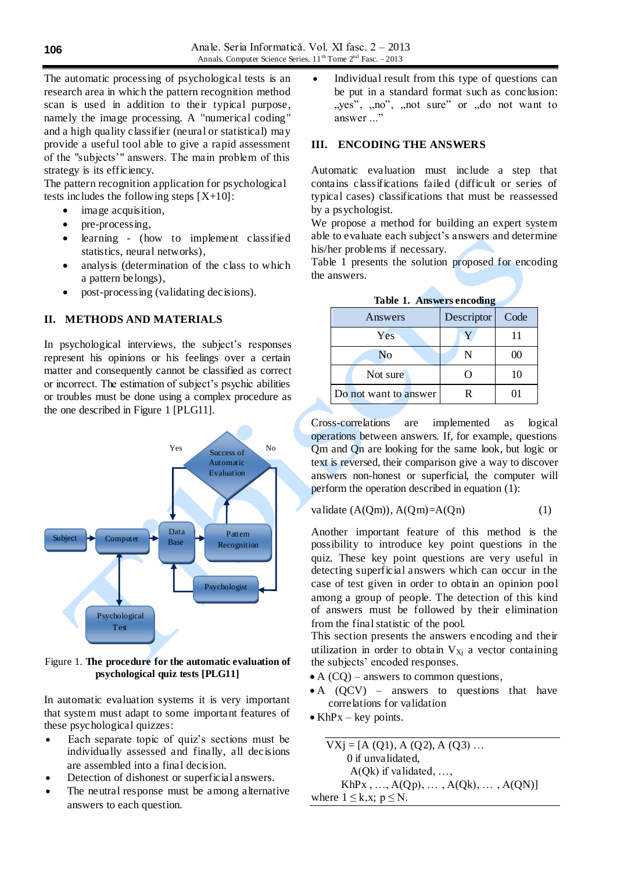The automatic processing of psychological tests is an research area in which the pattern recognition method scan is used in addition to their typical purpose, namely the image processing. A "numerical coding" and a high quality classifier (neural or statistical) may provide a useful tool able to give a rapid assessment of the "subjects'" answers. The main problem of this strategy is its efficiency.

The pattern recognition application for psychological tests includes the following steps [X+10]:

- image acquisition,
- pre-processing,
- learning (how to implement classified statistics, neural networks),
- analysis (determination of the class to which a pattern belongs),
- post-processing (validating decisions).

# **II. METHODS AND MATERIALS**

In psychological interviews, the subject's responses represent his opinions or his feelings over a certain matter and consequently cannot be classified as correct or incorrect. The estimation of subject's psychic abilities or troubles must be done using a complex procedure as the one described in Figure 1 [PLG11].



Figure 1. **The procedure for the automatic evaluation of psychological quiz tests [PLG11]**

In automatic evaluation systems it is very important that system must adapt to some important features of these psychological quizzes:

- Each separate topic of quiz's sections must be individually assessed and finally, all decisions are assembled into a final decision.
- Detection of dishonest or superficial answers.
- The neutral response must be among alternative answers to each question.

 Individual result from this type of questions can be put in a standard format such as conclusion: ", "yes", ", no", ", not sure" or ", do not want to answer ..."

# **III. ENCODING THE ANSWERS**

Automatic evaluation must include a step that contains classifications failed (difficult or series of typical cases) classifications that must be reassessed by a psychologist.

We propose a method for building an expert system able to evaluate each subject's answers and determine his/her problems if necessary.

Table 1 presents the solution proposed for encoding the answers.

| Answers               | Descriptor | Code |
|-----------------------|------------|------|
| Yes                   |            |      |
| N <sub>o</sub>        |            | 00   |
| Not sure              |            | 10   |
| Do not want to answer | R          |      |

**Table 1. Answers encoding**

Cross-correlations are implemented as logical operations between answers. If, for example, questions Qm and Qn are looking for the same look, but logic or text is reversed, their comparison give a way to discover answers non-honest or superficial, the computer will perform the operation described in equation (1):

$$
value (A(Qm)), A(Qm)=A(Qn) \tag{1}
$$

Another important feature of this method is the possibility to introduce key point questions in the quiz. These key point questions are very useful in detecting superficial answers which can occur in the case of test given in order to obtain an opinion pool among a group of people. The detection of this kind of answers must be followed by their elimination from the final statistic of the pool.

This section presents the answers encoding and their utilization in order to obtain  $V_{Xi}$  a vector containing the subjects' encoded responses.

- $\bullet$  A (CQ) answers to common questions,
- A (QCV) answers to questions that have correlations for validation

•  $KhPx - key points.$ 

$$
\overline{V Xj} = [A (Q1), A (Q2), A (Q3) ...
$$
  
0 if unvalidated,  
 $A(Qk)$  if validated, ...,  
 $KhPx$ , ...,  $A(Qp)$ , ...,  $A(Qk)$ , ...,  $A(QN)$ ]  
where  $1 \le k, x; p \le N$ .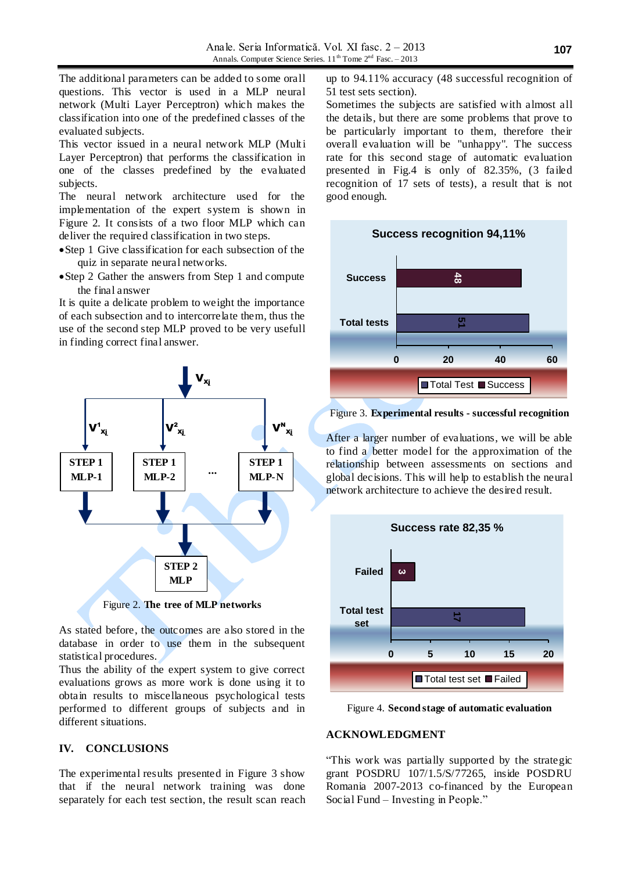The additional parameters can be added to some orall questions. This vector is used in a MLP neural network (Multi Layer Perceptron) which makes the classification into one of the predefined classes of the evaluated subjects.

This vector issued in a neural network MLP (Multi Layer Perceptron) that performs the classification in one of the classes predefined by the evaluated subjects.

The neural network architecture used for the implementation of the expert system is shown in Figure 2. It consists of a two floor MLP which can deliver the required classification in two steps.

- Step 1 Give classification for each subsection of the quiz in separate neural networks.
- Step 2 Gather the answers from Step 1 and compute the final answer

It is quite a delicate problem to weight the importance of each subsection and to intercorrelate them, thus the use of the second step MLP proved to be very usefull in finding correct final answer.



Figure 2. **The tree of MLP networks**

As stated before, the outcomes are also stored in the database in order to use them in the subsequent statistical procedures.

Thus the ability of the expert system to give correct evaluations grows as more work is done using it to obtain results to miscellaneous psychological tests performed to different groups of subjects and in different situations.

### **IV. CONCLUSIONS**

The experimental results presented in Figure 3 show that if the neural network training was done separately for each test section, the result scan reach up to 94.11% accuracy (48 successful recognition of 51 test sets section).

Sometimes the subjects are satisfied with almost all the details, but there are some problems that prove to be particularly important to them, therefore their overall evaluation will be "unhappy". The success rate for this second stage of automatic evaluation presented in Fig.4 is only of 82.35%, (3 failed recognition of 17 sets of tests), a result that is not good enough.



Figure 3. **Experimental results - successful recognition**

After a larger number of evaluations, we will be able to find a better model for the approximation of the relationship between assessments on sections and global decisions. This will help to establish the neural network architecture to achieve the desired result.



Figure 4. **Second stage of automatic evaluation**

### **ACKNOWLEDGMENT**

"This work was partially supported by the strategic grant POSDRU 107/1.5/S/77265, inside POSDRU Romania 2007-2013 co-financed by the European Social Fund – Investing in People."